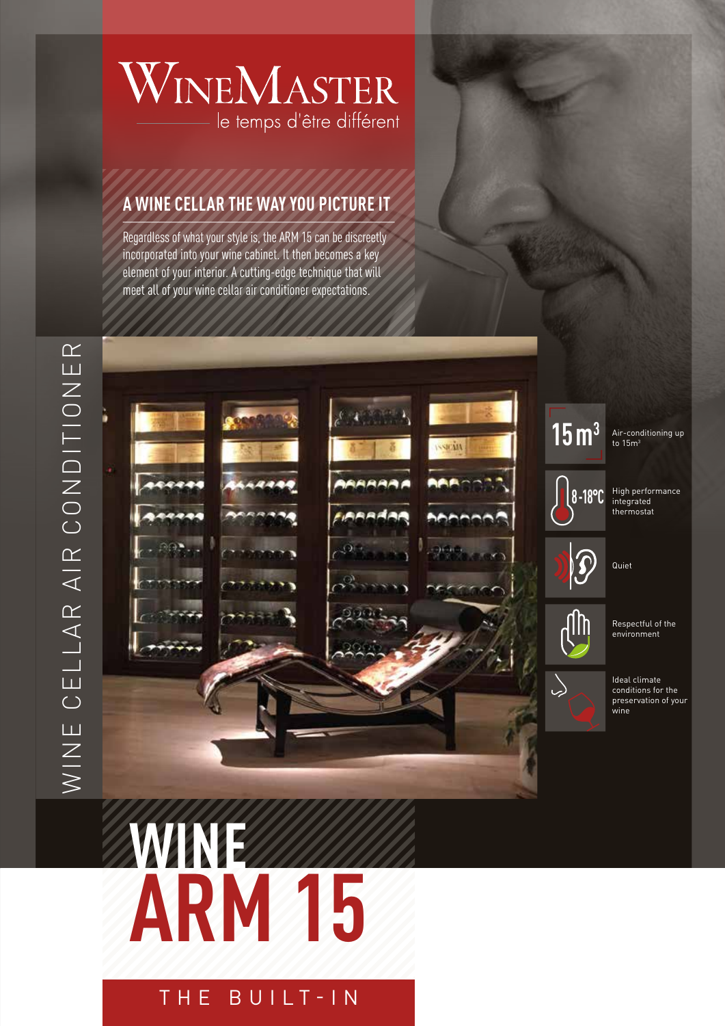# WINEMASTER le temps d'être différent

#### **A WINE CELLAR THE WAY YOU PICTURE IT**

Regardless of what your style is, the ARM 15 can be discreetly incorporated into your wine cabinet. It then becomes a key element of your interior. A cutting-edge technique that will meet all of your wine cellar air conditioner expectations.



 $15 \, \mathrm{m}^3$  Air-conditioning up

High performance integrated thermostat



Respectful of the environment

Ideal climate conditions for the preservation of your .<br>wine

# **WINE ARM 15**

THE BUILT-IN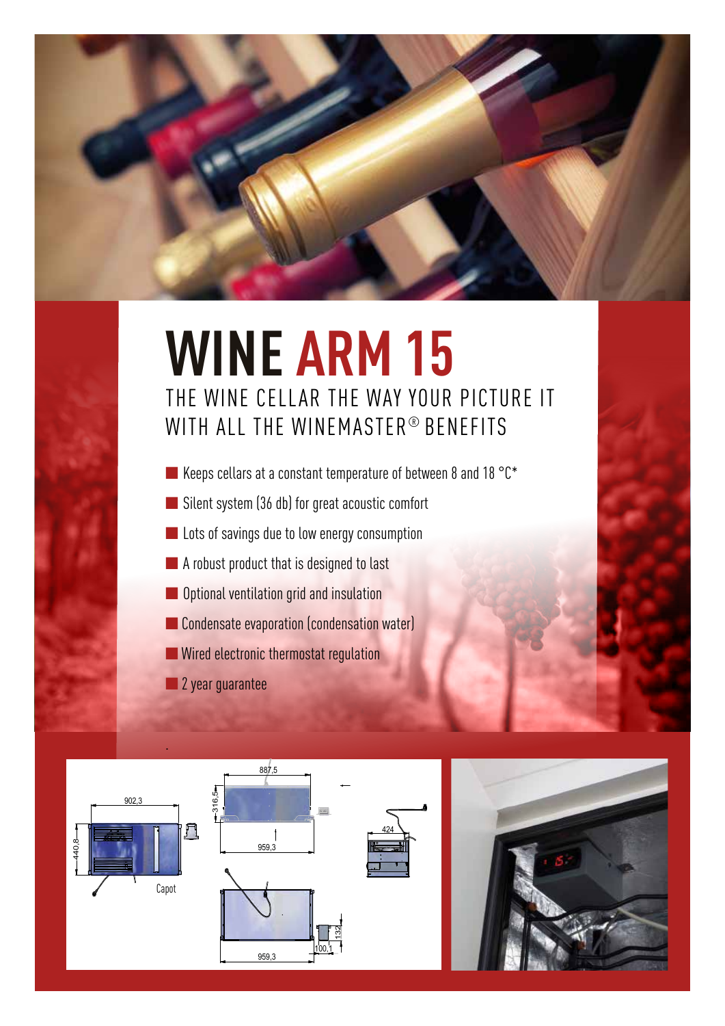

# **WINE ARM 15** THE WINE CELLAR THE WAY YOUR PICTURE IT WITH ALL THE WINEMASTER® BENEFITS

- Keeps cellars at a constant temperature of between 8 and 18 °C\*
- Silent system (36 db) for great acoustic comfort
- Lots of savings due to low energy consumption
- A robust product that is designed to last
- Optional ventilation grid and insulation
- Condensate evaporation (condensation water)
- Wired electronic thermostat regulation
- 2 year guarantee



.





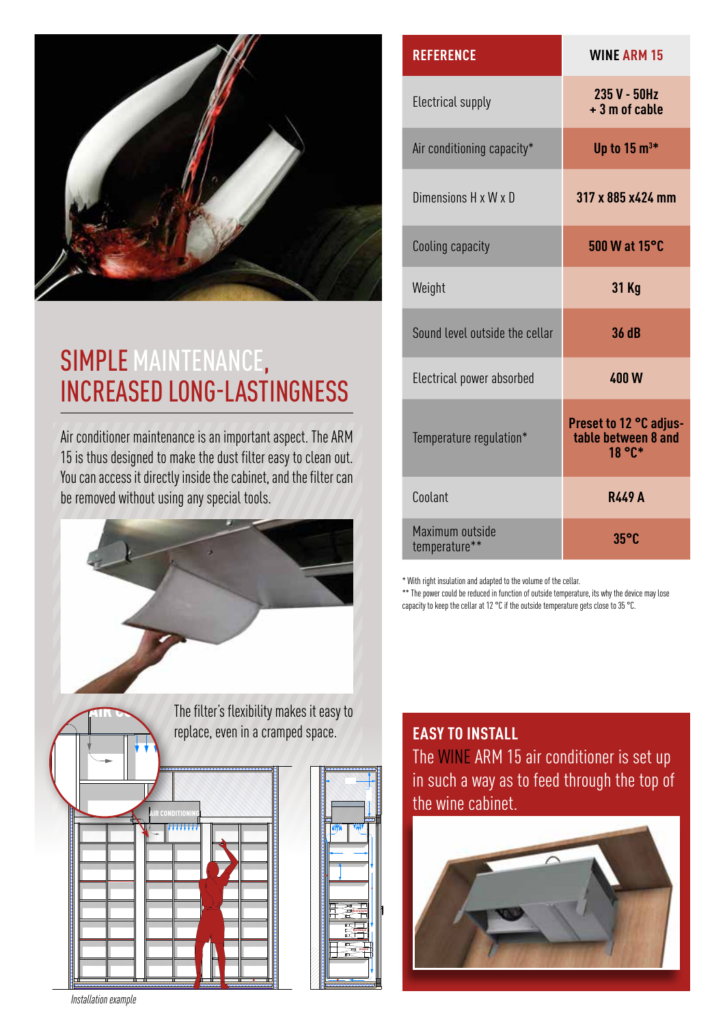

### SIMPLE MAINTENANCE, INCREASED LONG-LASTINGNESS

Air conditioner maintenance is an important aspect. The ARM 15 is thus designed to make the dust filter easy to clean out. You can access it directly inside the cabinet, and the filter can be removed without using any special tools.



| <b>REFERENCE</b>                 | <b>WINE ARM 15</b>                                      |
|----------------------------------|---------------------------------------------------------|
| Electrical supply                | 235 V - 50Hz<br>+ 3 m of cable                          |
| Air conditioning capacity*       | Up to $15 \text{ m}^{3*}$                               |
| Dimensions H x W x D             | 317 x 885 x424 mm                                       |
| Cooling capacity                 | 500 W at 15°C                                           |
| Weight                           | 31 Kg                                                   |
| Sound level outside the cellar   | 36 dB                                                   |
| Electrical power absorbed        | <b>400W</b>                                             |
| Temperature regulation*          | Preset to 12 °C adjus-<br>table between 8 and<br>18 °C* |
| Coolant                          | <b>R449 A</b>                                           |
| Maximum outside<br>temperature** | $35^{\circ}$ C                                          |

\* With right insulation and adapted to the volume of the cellar.

\*\* The power could be reduced in function of outside temperature, its why the device may lose capacity to keep the cellar at 12 °C if the outside temperature gets close to 35 °C.

The WINE ARM 15 air conditioner is set up in such a way as to feed through the top of the wine cabinet. **EASY TO INSTALL**



**Installation example**